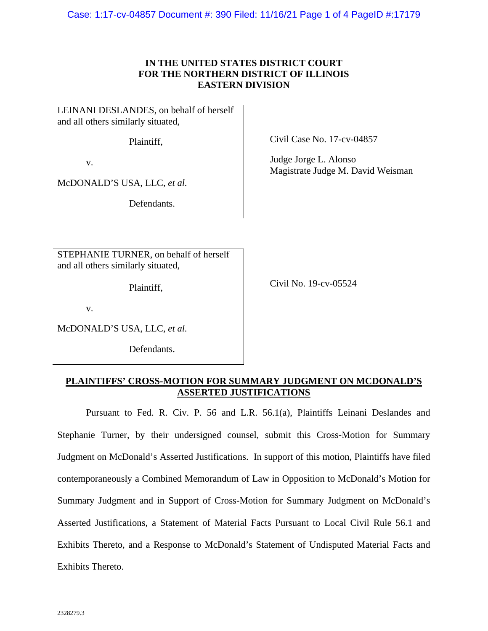Case: 1:17-cv-04857 Document #: 390 Filed: 11/16/21 Page 1 of 4 PageID #:17179

## **IN THE UNITED STATES DISTRICT COURT FOR THE NORTHERN DISTRICT OF ILLINOIS EASTERN DIVISION**

LEINANI DESLANDES, on behalf of herself and all others similarly situated,

Plaintiff,

v.

McDONALD'S USA, LLC, *et al.*

Defendants.

STEPHANIE TURNER, on behalf of herself and all others similarly situated,

Plaintiff,

Civil Case No. 17-cv-04857

Judge Jorge L. Alonso Magistrate Judge M. David Weisman

Civil No. 19-cv-05524

v.

McDONALD'S USA, LLC, *et al.*

Defendants.

## **PLAINTIFFS' CROSS-MOTION FOR SUMMARY JUDGMENT ON MCDONALD'S ASSERTED JUSTIFICATIONS**

Pursuant to Fed. R. Civ. P. 56 and L.R. 56.1(a), Plaintiffs Leinani Deslandes and Stephanie Turner, by their undersigned counsel, submit this Cross-Motion for Summary Judgment on McDonald's Asserted Justifications. In support of this motion, Plaintiffs have filed contemporaneously a Combined Memorandum of Law in Opposition to McDonald's Motion for Summary Judgment and in Support of Cross-Motion for Summary Judgment on McDonald's Asserted Justifications, a Statement of Material Facts Pursuant to Local Civil Rule 56.1 and Exhibits Thereto, and a Response to McDonald's Statement of Undisputed Material Facts and Exhibits Thereto.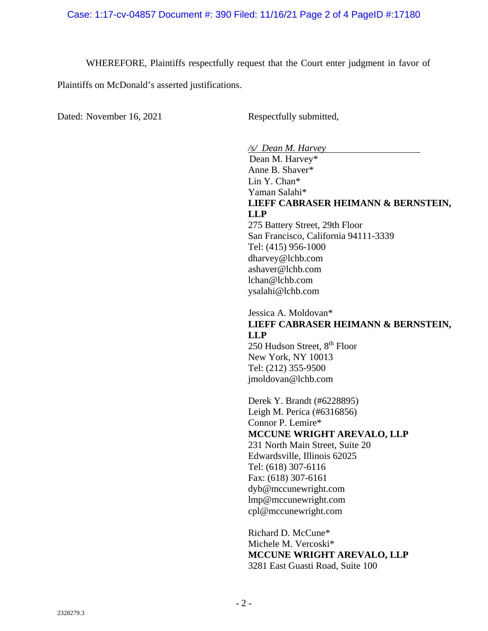WHEREFORE, Plaintiffs respectfully request that the Court enter judgment in favor of

Plaintiffs on McDonald's asserted justifications.

Dated: November 16, 2021 Respectfully submitted,

*/s/ Dean M. Harvey* 

 Dean M. Harvey\* Anne B. Shaver\* Lin Y. Chan\* Yaman Salahi\* **LIEFF CABRASER HEIMANN & BERNSTEIN, LLP**  275 Battery Street, 29th Floor

San Francisco, California 94111-3339 Tel: (415) 956-1000 dharvey@lchb.com ashaver@lchb.com lchan@lchb.com ysalahi@lchb.com

## Jessica A. Moldovan\* **LIEFF CABRASER HEIMANN & BERNSTEIN, LLP**

250 Hudson Street, 8<sup>th</sup> Floor New York, NY 10013 Tel: (212) 355-9500 jmoldovan@lchb.com

 Derek Y. Brandt (#6228895) Leigh M. Perica (#6316856) Connor P. Lemire\* **MCCUNE WRIGHT AREVALO, LLP**  231 North Main Street, Suite 20 Edwardsville, Illinois 62025 Tel: (618) 307-6116 Fax: (618) 307-6161 dyb@mccunewright.com lmp@mccunewright.com cpl@mccunewright.com

 Richard D. McCune\* Michele M. Vercoski\* **MCCUNE WRIGHT AREVALO, LLP**  3281 East Guasti Road, Suite 100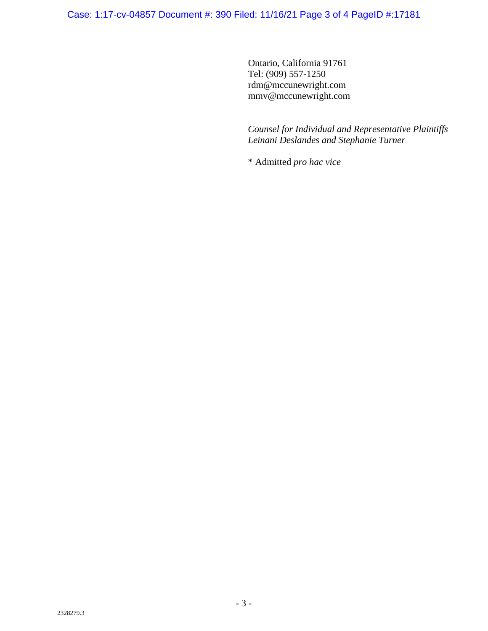Case: 1:17-cv-04857 Document #: 390 Filed: 11/16/21 Page 3 of 4 PageID #:17181

Ontario, California 91761 Tel: (909) 557-1250 rdm@mccunewright.com mmv@mccunewright.com

*Counsel for Individual and Representative Plaintiffs Leinani Deslandes and Stephanie Turner* 

\* Admitted *pro hac vice*